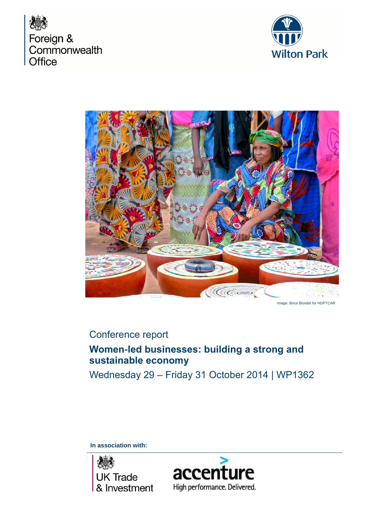





# Conference report

# **Women-led businesses: building a strong and sustainable economy**

Wednesday 29 – Friday 31 October 2014 | WP1362

**In association with:** 



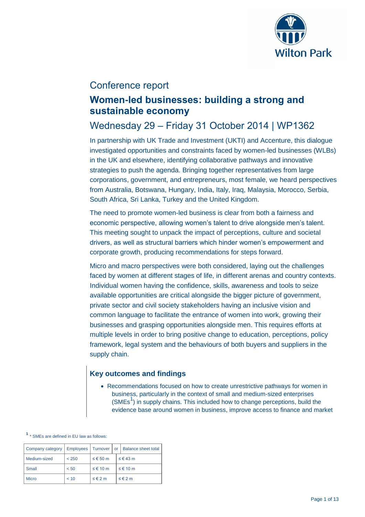

### Conference report

## **Women-led businesses: building a strong and sustainable economy**

## Wednesday 29 – Friday 31 October 2014 | WP1362

In partnership with UK Trade and Investment (UKTI) and Accenture, this dialogue investigated opportunities and constraints faced by women-led businesses (WLBs) in the UK and elsewhere, identifying collaborative pathways and innovative strategies to push the agenda. Bringing together representatives from large corporations, government, and entrepreneurs, most female, we heard perspectives from Australia, Botswana, Hungary, India, Italy, Iraq, Malaysia, Morocco, Serbia, South Africa, Sri Lanka, Turkey and the United Kingdom.

The need to promote women-led business is clear from both a fairness and economic perspective, allowing women's talent to drive alongside men's talent. This meeting sought to unpack the impact of perceptions, culture and societal drivers, as well as structural barriers which hinder women's empowerment and corporate growth, producing recommendations for steps forward.

Micro and macro perspectives were both considered, laying out the challenges faced by women at different stages of life, in different arenas and country contexts. Individual women having the confidence, skills, awareness and tools to seize available opportunities are critical alongside the bigger picture of government, private sector and civil society stakeholders having an inclusive vision and common language to facilitate the entrance of women into work, growing their businesses and grasping opportunities alongside men. This requires efforts at multiple levels in order to bring positive change to education, perceptions, policy framework, legal system and the behaviours of both buyers and suppliers in the supply chain.

### **Key outcomes and findings**

 Recommendations focused on how to create unrestrictive pathways for women in business, particularly in the context of small and medium-sized enterprises  $(SMEs<sup>1</sup>)$  in supply chains. This included how to change perceptions, build the evidence base around women in business, improve access to finance and market

**1** \* SMEs are defined in EU law as follows:

| Company category |       |                     | Employees   Turnover   or   Balance sheet total |
|------------------|-------|---------------------|-------------------------------------------------|
| Medium-sized     | < 250 | ≤ € 50 m            | $\leq \epsilon$ 43 m                            |
| Small            | < 50  | ≤ € 10 m            | ≤ € 10 m                                        |
| Micro            | < 10  | $\leq \epsilon$ 2 m | $\leq \epsilon$ 2 m                             |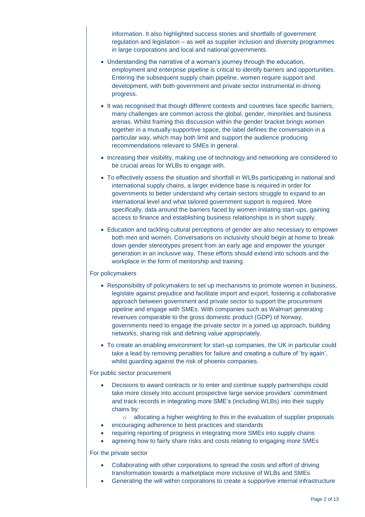information. It also highlighted success stories and shortfalls of government regulation and legislation – as well as supplier inclusion and diversity programmes in large corporations and local and national governments.

- Understanding the narrative of a woman's journey through the education, employment and enterprise pipeline is critical to identify barriers and opportunities. Entering the subsequent supply chain pipeline, women require support and development, with both government and private sector instrumental in driving progress.
- It was recognised that though different contexts and countries face specific barriers, many challenges are common across the global, gender, minorities and business arenas. Whilst framing this discussion within the gender bracket brings women together in a mutually-supportive space, the label defines the conversation in a particular way, which may both limit and support the audience producing recommendations relevant to SMEs in general.
- Increasing their visibility, making use of technology and networking are considered to be crucial areas for WLBs to engage with.
- To effectively assess the situation and shortfall in WLBs participating in national and international supply chains, a larger evidence base is required in order for governments to better understand why certain sectors struggle to expand to an international level and what tailored government support is required. More specifically, data around the barriers faced by women initiating start-ups, gaining access to finance and establishing business relationships is in short supply.
- Education and tackling cultural perceptions of gender are also necessary to empower both men and women. Conversations on inclusivity should begin at home to break down gender stereotypes present from an early age and empower the younger generation in an inclusive way. These efforts should extend into schools and the workplace in the form of mentorship and training.

#### For policymakers

- Responsibility of policymakers to set up mechanisms to promote women in business, legislate against prejudice and facilitate import and export, fostering a collaborative approach between government and private sector to support the procurement pipeline and engage with SMEs. With companies such as Walmart generating revenues comparable to the gross domestic product (GDP) of Norway, governments need to engage the private sector in a joined up approach, building networks, sharing risk and defining value appropriately.
- To create an enabling environment for start-up companies, the UK in particular could take a lead by removing penalties for failure and creating a culture of 'try again', whilst guarding against the risk of phoenix companies.

#### For public sector procurement

- Decisions to award contracts or to enter and continue supply partnerships could take more closely into account prospective large service providers' commitment and track records in integrating more SME's (including WLBs) into their supply chains by:
	- o allocating a higher weighting to this in the evaluation of supplier proposals
- encouraging adherence to best practices and standards
- requiring reporting of progress in integrating more SMEs into supply chains
- agreeing how to fairly share risks and costs relating to engaging more SMEs

#### For the private sector

- Collaborating with other corporations to spread the costs and effort of driving transformation towards a marketplace more inclusive of WLBs and SMEs
- Generating the will within corporations to create a supportive internal infrastructure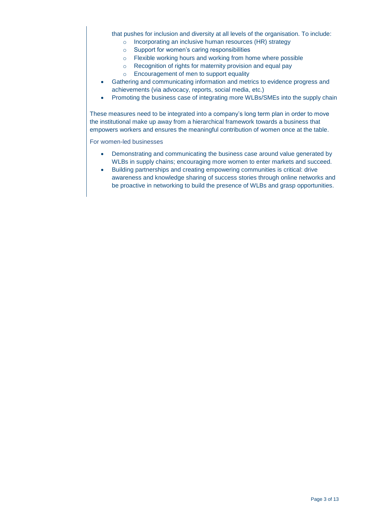that pushes for inclusion and diversity at all levels of the organisation. To include:

- o Incorporating an inclusive human resources (HR) strategy
- o Support for women's caring responsibilities
- o Flexible working hours and working from home where possible
- o Recognition of rights for maternity provision and equal pay
- o Encouragement of men to support equality
- Gathering and communicating information and metrics to evidence progress and achievements (via advocacy, reports, social media, etc.)
- Promoting the business case of integrating more WLBs/SMEs into the supply chain

These measures need to be integrated into a company's long term plan in order to move the institutional make up away from a hierarchical framework towards a business that empowers workers and ensures the meaningful contribution of women once at the table.

For women-led businesses

- Demonstrating and communicating the business case around value generated by WLBs in supply chains; encouraging more women to enter markets and succeed.
- Building partnerships and creating empowering communities is critical: drive awareness and knowledge sharing of success stories through online networks and be proactive in networking to build the presence of WLBs and grasp opportunities.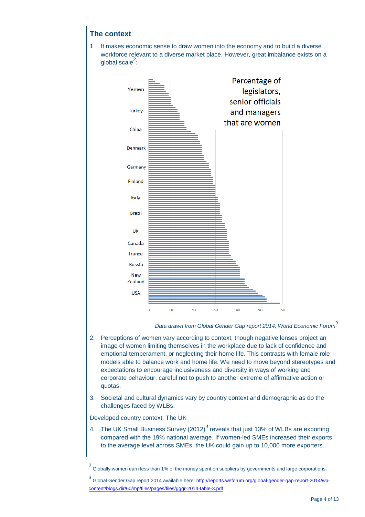### **The context**

1. It makes economic sense to draw women into the economy and to build a diverse workforce relevant to a diverse market place. However, great imbalance exists on a global scale $^2$ :



*Data drawn from Global Gender Gap report 2014, World Economic Forum<sup>3</sup>*

- 2. Perceptions of women vary according to context, though negative lenses project an image of women limiting themselves in the workplace due to lack of confidence and emotional temperament, or neglecting their home life. This contrasts with female role models able to balance work and home life. We need to move beyond stereotypes and expectations to encourage inclusiveness and diversity in ways of working and corporate behaviour, careful not to push to another extreme of affirmative action or quotas.
- 3. Societal and cultural dynamics vary by country context and demographic as do the challenges faced by WLBs.

Developed country context: The UK

4. The UK Small Business Survey (2012)*<sup>4</sup>* reveals that just 13% of WLBs are exporting compared with the 19% national average. If women-led SMEs increased their exports to the average level across SMEs, the UK could gain up to 10,000 more exporters.

<sup>2</sup> Globally women earn less than 1% of the money spent on suppliers by governments and large corporations.

<sup>3&</sup>lt;br><sup>3</sup> Global Gender Gap report 2014 available here: <u>http://reports.weforum.org/global-gender-gap-report-2014/wp-</u> [content/blogs.dir/60/mp/files/pages/files/gggr-2014-table-3.pdf](http://reports.weforum.org/global-gender-gap-report-2014/wp-content/blogs.dir/60/mp/files/pages/files/gggr-2014-table-3.pdf)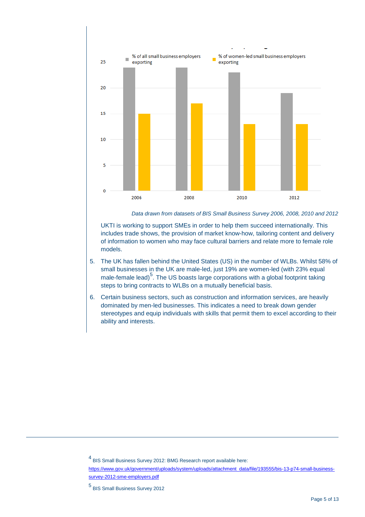

*Data drawn from datasets of BIS Small Business Survey 2006, 2008, 2010 and 2012*

UKTI is working to support SMEs in order to help them succeed internationally. This includes trade shows, the provision of market know-how, tailoring content and delivery of information to women who may face cultural barriers and relate more to female role models.

- 5. The UK has fallen behind the United States (US) in the number of WLBs. Whilst 58% of small businesses in the UK are male-led, just 19% are women-led (with 23% equal male-female lead)<sup>5</sup>. The US boasts large corporations with a global footprint taking steps to bring contracts to WLBs on a mutually beneficial basis.
- 6. Certain business sectors, such as construction and information services, are heavily dominated by men-led businesses. This indicates a need to break down gender stereotypes and equip individuals with skills that permit them to excel according to their ability and interests.

4 BIS Small Business Survey 2012: BMG Research report available here:

 $\overline{a}$ 

[https://www.gov.uk/government/uploads/system/uploads/attachment\\_data/file/193555/bis-13-p74-small-business](https://www.gov.uk/government/uploads/system/uploads/attachment_data/file/193555/bis-13-p74-small-business-survey-2012-sme-employers.pdf)[survey-2012-sme-employers.pdf](https://www.gov.uk/government/uploads/system/uploads/attachment_data/file/193555/bis-13-p74-small-business-survey-2012-sme-employers.pdf)

<sup>5</sup> BIS Small Business Survey 2012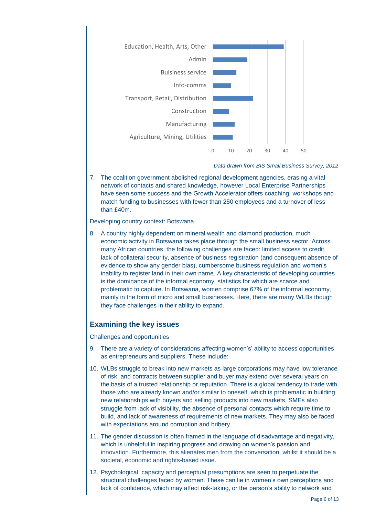

*Data drawn from BIS Small Business Survey, 2012* 

7. The coalition government abolished regional development agencies, erasing a vital network of contacts and shared knowledge, however Local Enterprise Partnerships have seen some success and the Growth Accelerator offers coaching, workshops and match funding to businesses with fewer than 250 employees and a turnover of less than £40m.

#### Developing country context: Botswana

8. A country highly dependent on mineral wealth and diamond production, much economic activity in Botswana takes place through the small business sector. Across many African countries, the following challenges are faced: limited access to credit, lack of collateral security, absence of business registration (and consequent absence of evidence to show any gender bias), cumbersome business regulation and women's inability to register land in their own name. A key characteristic of developing countries is the dominance of the informal economy, statistics for which are scarce and problematic to capture. In Botswana, women comprise 67% of the informal economy, mainly in the form of micro and small businesses. Here, there are many WLBs though they face challenges in their ability to expand.

#### **Examining the key issues**

Challenges and opportunities

- 9. There are a variety of considerations affecting women's' ability to access opportunities as entrepreneurs and suppliers. These include:
- 10. WLBs struggle to break into new markets as large corporations may have low tolerance of risk, and contracts between supplier and buyer may extend over several years on the basis of a trusted relationship or reputation. There is a global tendency to trade with those who are already known and/or similar to oneself, which is problematic in building new relationships with buyers and selling products into new markets. SMEs also struggle from lack of visibility, the absence of personal contacts which require time to build, and lack of awareness of requirements of new markets. They may also be faced with expectations around corruption and bribery.
- 11. The gender discussion is often framed in the language of disadvantage and negativity, which is unhelpful in inspiring progress and drawing on women's passion and innovation. Furthermore, this alienates men from the conversation, whilst it should be a societal, economic and rights-based issue.
- 12. Psychological, capacity and perceptual presumptions are seen to perpetuate the structural challenges faced by women. These can lie in women's own perceptions and lack of confidence, which may affect risk-taking, or the person's ability to network and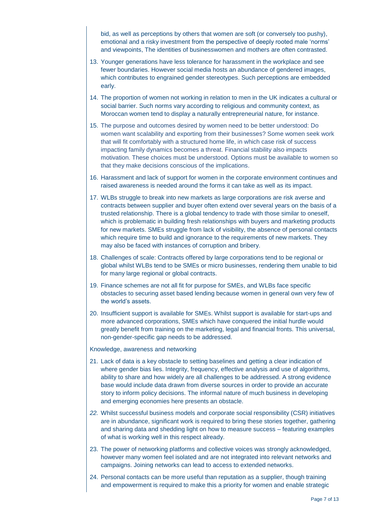bid, as well as perceptions by others that women are soft (or conversely too pushy), emotional and a risky investment from the perspective of deeply rooted male 'norms' and viewpoints, The identities of businesswomen and mothers are often contrasted.

- 13. Younger generations have less tolerance for harassment in the workplace and see fewer boundaries. However social media hosts an abundance of gendered images, which contributes to engrained gender stereotypes. Such perceptions are embedded early.
- 14. The proportion of women not working in relation to men in the UK indicates a cultural or social barrier. Such norms vary according to religious and community context, as Moroccan women tend to display a naturally entrepreneurial nature, for instance.
- 15. The purpose and outcomes desired by women need to be better understood: Do women want scalability and exporting from their businesses? Some women seek work that will fit comfortably with a structured home life, in which case risk of success impacting family dynamics becomes a threat. Financial stability also impacts motivation. These choices must be understood. Options must be available to women so that they make decisions conscious of the implications.
- 16. Harassment and lack of support for women in the corporate environment continues and raised awareness is needed around the forms it can take as well as its impact.
- 17. WLBs struggle to break into new markets as large corporations are risk averse and contracts between supplier and buyer often extend over several years on the basis of a trusted relationship. There is a global tendency to trade with those similar to oneself, which is problematic in building fresh relationships with buyers and marketing products for new markets. SMEs struggle from lack of visibility, the absence of personal contacts which require time to build and ignorance to the requirements of new markets. They may also be faced with instances of corruption and bribery.
- 18. Challenges of scale: Contracts offered by large corporations tend to be regional or global whilst WLBs tend to be SMEs or micro businesses, rendering them unable to bid for many large regional or global contracts.
- 19. Finance schemes are not all fit for purpose for SMEs, and WLBs face specific obstacles to securing asset based lending because women in general own very few of the world's assets.
- 20. Insufficient support is available for SMEs. Whilst support is available for start-ups and more advanced corporations, SMEs which have conquered the initial hurdle would greatly benefit from training on the marketing, legal and financial fronts. This universal, non-gender-specific gap needs to be addressed.

Knowledge, awareness and networking

- 21. Lack of data is a key obstacle to setting baselines and getting a clear indication of where gender bias lies. Integrity, frequency, effective analysis and use of algorithms, ability to share and how widely are all challenges to be addressed. A strong evidence base would include data drawn from diverse sources in order to provide an accurate story to inform policy decisions. The informal nature of much business in developing and emerging economies here presents an obstacle.
- *22.* Whilst successful business models and corporate social responsibility (CSR) initiatives are in abundance, significant work is required to bring these stories together, gathering and sharing data and shedding light on how to measure success – featuring examples of what is working well in this respect already.
- 23. The power of networking platforms and collective voices was strongly acknowledged, however many women feel isolated and are not integrated into relevant networks and campaigns. Joining networks can lead to access to extended networks.
- 24. Personal contacts can be more useful than reputation as a supplier, though training and empowerment is required to make this a priority for women and enable strategic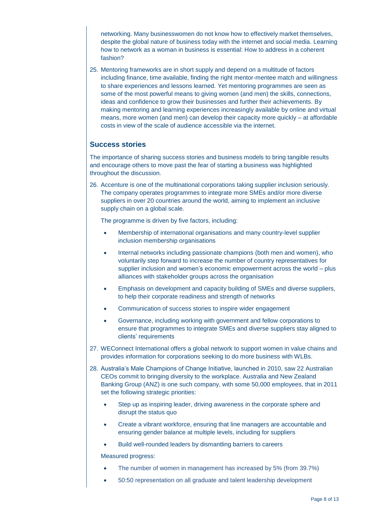networking. Many businesswomen do not know how to effectively market themselves, despite the global nature of business today with the internet and social media. Learning how to network as a woman in business is essential: How to address in a coherent fashion?

25. Mentoring frameworks are in short supply and depend on a multitude of factors including finance, time available, finding the right mentor-mentee match and willingness to share experiences and lessons learned. Yet mentoring programmes are seen as some of the most powerful means to giving women (and men) the skills, connections, ideas and confidence to grow their businesses and further their achievements. By making mentoring and learning experiences increasingly available by online and virtual means, more women (and men) can develop their capacity more quickly – at affordable costs in view of the scale of audience accessible via the internet.

### **Success stories**

The importance of sharing success stories and business models to bring tangible results and encourage others to move past the fear of starting a business was highlighted throughout the discussion.

26. Accenture is one of the multinational corporations taking supplier inclusion seriously. The company operates programmes to integrate more SMEs and/or more diverse suppliers in over 20 countries around the world, aiming to implement an inclusive supply chain on a global scale.

The programme is driven by five factors, including:

- Membership of international organisations and many country-level supplier inclusion membership organisations
- Internal networks including passionate champions (both men and women), who voluntarily step forward to increase the number of country representatives for supplier inclusion and women's economic empowerment across the world – plus alliances with stakeholder groups across the organisation
- Emphasis on development and capacity building of SMEs and diverse suppliers, to help their corporate readiness and strength of networks
- Communication of success stories to inspire wider engagement
- Governance, including working with government and fellow corporations to ensure that programmes to integrate SMEs and diverse suppliers stay aligned to clients' requirements
- 27. WEConnect International offers a global network to support women in value chains and provides information for corporations seeking to do more business with WLBs.
- 28. Australia's Male Champions of Change Initiative, launched in 2010, saw 22 Australian CEOs commit to bringing diversity to the workplace. Australia and New Zealand Banking Group (ANZ) is one such company, with some 50,000 employees, that in 2011 set the following strategic priorities:
	- Step up as inspiring leader, driving awareness in the corporate sphere and disrupt the status quo
	- Create a vibrant workforce, ensuring that line managers are accountable and ensuring gender balance at multiple levels, including for suppliers
	- Build well-rounded leaders by dismantling barriers to careers

Measured progress:

- The number of women in management has increased by 5% (from 39.7%)
- 50:50 representation on all graduate and talent leadership development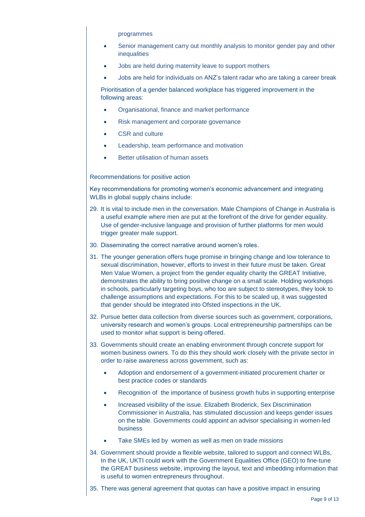programmes

- Senior management carry out monthly analysis to monitor gender pay and other inequalities
- Jobs are held during maternity leave to support mothers
- Jobs are held for individuals on ANZ's talent radar who are taking a career break

Prioritisation of a gender balanced workplace has triggered improvement in the following areas:

- Organisational, finance and market performance
- Risk management and corporate governance
- CSR and culture
- Leadership, team performance and motivation
- Better utilisation of human assets

Recommendations for positive action

Key recommendations for promoting women's economic advancement and integrating WLBs in global supply chains include:

- 29. It is vital to include men in the conversation. Male Champions of Change in Australia is a useful example where men are put at the forefront of the drive for gender equality. Use of gender-inclusive language and provision of further platforms for men would trigger greater male support.
- 30. Disseminating the correct narrative around women's roles.
- 31. The younger generation offers huge promise in bringing change and low tolerance to sexual discrimination, however, efforts to invest in their future must be taken. Great Men Value Women, a project from the gender equality charity the GREAT Initiative, demonstrates the ability to bring positive change on a small scale. Holding workshops in schools, particularly targeting boys, who too are subject to stereotypes, they look to challenge assumptions and expectations. For this to be scaled up, it was suggested that gender should be integrated into Ofsted inspections in the UK.
- 32. Pursue better data collection from diverse sources such as government, corporations, university research and women's groups. Local entrepreneurship partnerships can be used to monitor what support is being offered.
- 33. Governments should create an enabling environment through concrete support for women business owners. To do this they should work closely with the private sector in order to raise awareness across government, such as:
	- Adoption and endorsement of a government-initiated procurement charter or best practice codes or standards
	- Recognition of the importance of business growth hubs in supporting enterprise
	- Increased visibility of the issue. Elizabeth Broderick, Sex Discrimination Commissioner in Australia, has stimulated discussion and keeps gender issues on the table. Governments could appoint an advisor specialising in women-led business
	- Take SMEs led by women as well as men on trade missions
- 34. Government should provide a flexible website, tailored to support and connect WLBs, In the UK, UKTI could work with the Government Equalities Office (GEO) to fine-tune the GREAT business website, improving the layout, text and imbedding information that is useful to women entrepreneurs throughout.
- 35. There was general agreement that quotas can have a positive impact in ensuring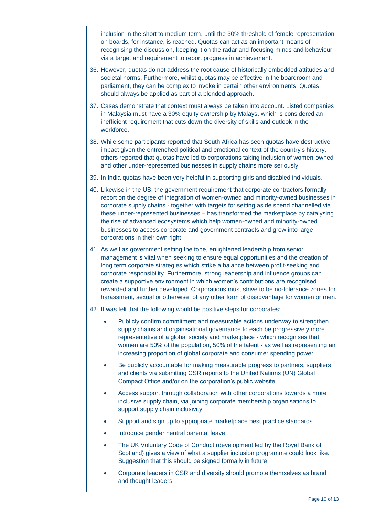inclusion in the short to medium term, until the 30% threshold of female representation on boards, for instance, is reached. Quotas can act as an important means of recognising the discussion, keeping it on the radar and focusing minds and behaviour via a target and requirement to report progress in achievement.

- 36. However, quotas do not address the root cause of historically embedded attitudes and societal norms. Furthermore, whilst quotas may be effective in the boardroom and parliament, they can be complex to invoke in certain other environments. Quotas should always be applied as part of a blended approach.
- 37. Cases demonstrate that context must always be taken into account. Listed companies in Malaysia must have a 30% equity ownership by Malays, which is considered an inefficient requirement that cuts down the diversity of skills and outlook in the workforce.
- 38. While some participants reported that South Africa has seen quotas have destructive impact given the entrenched political and emotional context of the country's history, others reported that quotas have led to corporations taking inclusion of women-owned and other under-represented businesses in supply chains more seriously
- 39. In India quotas have been very helpful in supporting girls and disabled individuals.
- 40. Likewise in the US, the government requirement that corporate contractors formally report on the degree of integration of women-owned and minority-owned businesses in corporate supply chains - together with targets for setting aside spend channelled via these under-represented businesses – has transformed the marketplace by catalysing the rise of advanced ecosystems which help women-owned and minority-owned businesses to access corporate and government contracts and grow into large corporations in their own right.
- 41. As well as government setting the tone, enlightened leadership from senior management is vital when seeking to ensure equal opportunities and the creation of long term corporate strategies which strike a balance between profit-seeking and corporate responsibility. Furthermore, strong leadership and influence groups can create a supportive environment in which women's contributions are recognised, rewarded and further developed. Corporations must strive to be no-tolerance zones for harassment, sexual or otherwise, of any other form of disadvantage for women or men.
- 42. It was felt that the following would be positive steps for corporates:
	- Publicly confirm commitment and measurable actions underway to strengthen supply chains and organisational governance to each be progressively more representative of a global society and marketplace - which recognises that women are 50% of the population, 50% of the talent - as well as representing an increasing proportion of global corporate and consumer spending power
	- Be publicly accountable for making measurable progress to partners, suppliers and clients via submitting CSR reports to the United Nations (UN) Global Compact Office and/or on the corporation's public website
	- Access support through collaboration with other corporations towards a more inclusive supply chain, via joining corporate membership organisations to support supply chain inclusivity
	- Support and sign up to appropriate marketplace best practice standards
	- Introduce gender neutral parental leave
	- The UK Voluntary Code of Conduct (development led by the Royal Bank of Scotland) gives a view of what a supplier inclusion programme could look like. Suggestion that this should be signed formally in future
	- Corporate leaders in CSR and diversity should promote themselves as brand and thought leaders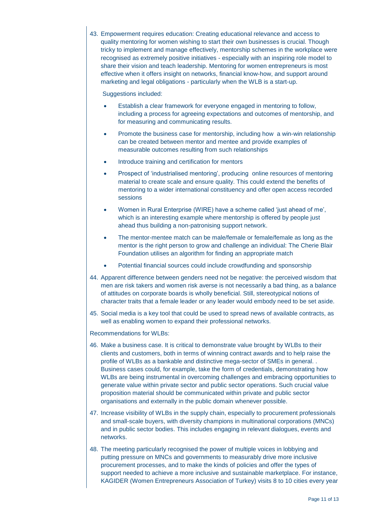43. Empowerment requires education: Creating educational relevance and access to quality mentoring for women wishing to start their own businesses is crucial. Though tricky to implement and manage effectively, mentorship schemes in the workplace were recognised as extremely positive initiatives - especially with an inspiring role model to share their vision and teach leadership. Mentoring for women entrepreneurs is most effective when it offers insight on networks, financial know-how, and support around marketing and legal obligations - particularly when the WLB is a start-up.

#### Suggestions included:

- Establish a clear framework for everyone engaged in mentoring to follow, including a process for agreeing expectations and outcomes of mentorship, and for measuring and communicating results.
- Promote the business case for mentorship, including how a win-win relationship can be created between mentor and mentee and provide examples of measurable outcomes resulting from such relationships
- Introduce training and certification for mentors
- Prospect of 'industrialised mentoring', producing online resources of mentoring material to create scale and ensure quality. This could extend the benefits of mentoring to a wider international constituency and offer open access recorded sessions
- Women in Rural Enterprise (WIRE) have a scheme called 'just ahead of me', which is an interesting example where mentorship is offered by people just ahead thus building a non-patronising support network.
- The mentor-mentee match can be male/female or female/female as long as the mentor is the right person to grow and challenge an individual: The Cherie Blair Foundation utilises an algorithm for finding an appropriate match
- Potential financial sources could include crowdfunding and sponsorship
- 44. Apparent difference between genders need not be negative: the perceived wisdom that men are risk takers and women risk averse is not necessarily a bad thing, as a balance of attitudes on corporate boards is wholly beneficial. Still, stereotypical notions of character traits that a female leader or any leader would embody need to be set aside.
- 45. Social media is a key tool that could be used to spread news of available contracts, as well as enabling women to expand their professional networks.

Recommendations for WLBs:

- 46. Make a business case. It is critical to demonstrate value brought by WLBs to their clients and customers, both in terms of winning contract awards and to help raise the profile of WLBs as a bankable and distinctive mega-sector of SMEs in general. . Business cases could, for example, take the form of credentials, demonstrating how WLBs are being instrumental in overcoming challenges and embracing opportunities to generate value within private sector and public sector operations. Such crucial value proposition material should be communicated within private and public sector organisations and externally in the public domain whenever possible.
- 47. Increase visibility of WLBs in the supply chain, especially to procurement professionals and small-scale buyers, with diversity champions in multinational corporations (MNCs) and in public sector bodies. This includes engaging in relevant dialogues, events and networks.
- 48. The meeting particularly recognised the power of multiple voices in lobbying and putting pressure on MNCs and governments to measurably drive more inclusive procurement processes, and to make the kinds of policies and offer the types of support needed to achieve a more inclusive and sustainable marketplace. For instance, KAGIDER (Women Entrepreneurs Association of Turkey) visits 8 to 10 cities every year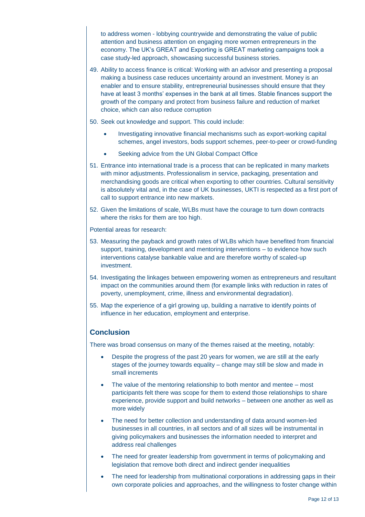to address women - lobbying countrywide and demonstrating the value of public attention and business attention on engaging more women entrepreneurs in the economy. The UK's GREAT and Exporting is GREAT marketing campaigns took a case study-led approach, showcasing successful business stories.

- 49. Ability to access finance is critical: Working with an advisor and presenting a proposal making a business case reduces uncertainty around an investment. Money is an enabler and to ensure stability, entrepreneurial businesses should ensure that they have at least 3 months' expenses in the bank at all times. Stable finances support the growth of the company and protect from business failure and reduction of market choice, which can also reduce corruption
- 50. Seek out knowledge and support. This could include:
	- Investigating innovative financial mechanisms such as export-working capital schemes, angel investors, bods support schemes, peer-to-peer or crowd-funding
	- Seeking advice from the UN Global Compact Office
- 51. Entrance into international trade is a process that can be replicated in many markets with minor adjustments. Professionalism in service, packaging, presentation and merchandising goods are critical when exporting to other countries. Cultural sensitivity is absolutely vital and, in the case of UK businesses, UKTI is respected as a first port of call to support entrance into new markets.
- 52. Given the limitations of scale, WLBs must have the courage to turn down contracts where the risks for them are too high.

Potential areas for research:

- 53. Measuring the payback and growth rates of WLBs which have benefited from financial support, training, development and mentoring interventions – to evidence how such interventions catalyse bankable value and are therefore worthy of scaled-up investment.
- 54. Investigating the linkages between empowering women as entrepreneurs and resultant impact on the communities around them (for example links with reduction in rates of poverty, unemployment, crime, illness and environmental degradation).
- 55. Map the experience of a girl growing up, building a narrative to identify points of influence in her education, employment and enterprise.

### **Conclusion**

There was broad consensus on many of the themes raised at the meeting, notably:

- Despite the progress of the past 20 years for women, we are still at the early stages of the journey towards equality – change may still be slow and made in small increments
- The value of the mentoring relationship to both mentor and mentee most participants felt there was scope for them to extend those relationships to share experience, provide support and build networks – between one another as well as more widely
- The need for better collection and understanding of data around women-led businesses in all countries, in all sectors and of all sizes will be instrumental in giving policymakers and businesses the information needed to interpret and address real challenges
- The need for greater leadership from government in terms of policymaking and legislation that remove both direct and indirect gender inequalities
- The need for leadership from multinational corporations in addressing gaps in their own corporate policies and approaches, and the willingness to foster change within